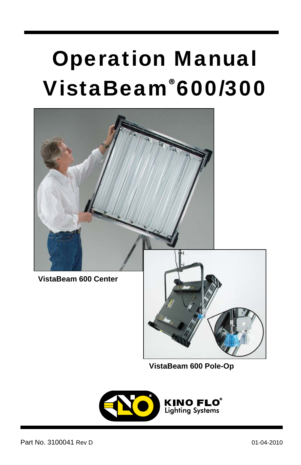# Operation Manual VistaBeam 600/300 **®**



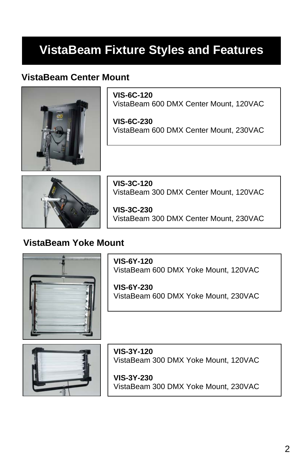# **VistaBeam Fixture Styles and Features**

### **VistaBeam Center Mount**



**VIS-6C-120**  VistaBeam 600 DMX Center Mount, 120VAC

**VIS-6C-230**  VistaBeam 600 DMX Center Mount, 230VAC



**VIS-3C-120**  VistaBeam 300 DMX Center Mount, 120VAC

**VIS-3C-230**  VistaBeam 300 DMX Center Mount, 230VAC

### **VistaBeam Yoke Mount**



**VIS-6Y-120**  VistaBeam 600 DMX Yoke Mount, 120VAC

**VIS-6Y-230**  VistaBeam 600 DMX Yoke Mount, 230VAC



**VIS-3Y-120**  VistaBeam 300 DMX Yoke Mount, 120VAC

**VIS-3Y-230**  VistaBeam 300 DMX Yoke Mount, 230VAC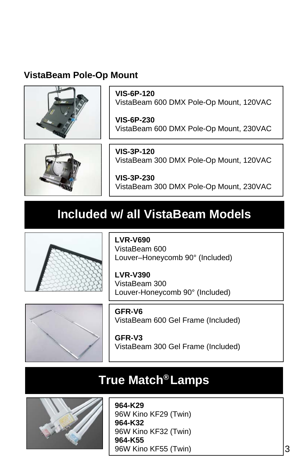### **VistaBeam Pole-Op Mount**



**VIS-6P-120**  VistaBeam 600 DMX Pole-Op Mount, 120VAC

**VIS-6P-230**  VistaBeam 600 DMX Pole-Op Mount, 230VAC



**VIS-3P-120**  VistaBeam 300 DMX Pole-Op Mount, 120VAC

**VIS-3P-230**  VistaBeam 300 DMX Pole-Op Mount, 230VAC

### **Included w/ all VistaBeam Models**



**LVR-V690**  VistaBeam 600 Louver–Honeycomb 90° (Included)

**LVR-V390**  VistaBeam 300 Louver-Honeycomb 90° (Included)



**GFR-V6**  VistaBeam 600 Gel Frame (Included)

**GFR-V3**  VistaBeam 300 Gel Frame (Included)

### **True Match<sup>®</sup> Lamps**



**964-K29** 96W Kino KF29 (Twin) **964-K32** 96W Kino KF32 (Twin) **964-K55** 96W Kino KF55 (Twin)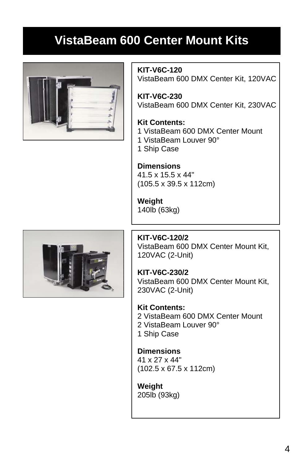## **VistaBeam 600 Center Mount Kits**





**KIT-V6C-120** VistaBeam 600 DMX Center Kit, 120VAC

**KIT-V6C-230** VistaBeam 600 DMX Center Kit, 230VAC

#### **Kit Contents:**

- 1 VistaBeam 600 DMX Center Mount
- 1 VistaBeam Louver 90°
- 1 Ship Case

#### **Dimensions**  41.5 x 15.5 x 44" (105.5 x 39.5 x 112cm)

**Weight** 140lb (63kg)

**KIT-V6C-120/2** VistaBeam 600 DMX Center Mount Kit, 120VAC (2-Unit)

**KIT-V6C-230/2** VistaBeam 600 DMX Center Mount Kit, 230VAC (2-Unit)

**Kit Contents:**  2 VistaBeam 600 DMX Center Mount 2 VistaBeam Louver 90° 1 Ship Case

**Dimensions**  41 x 27 x 44" (102.5 x 67.5 x 112cm)

**Weight** 205lb (93kg)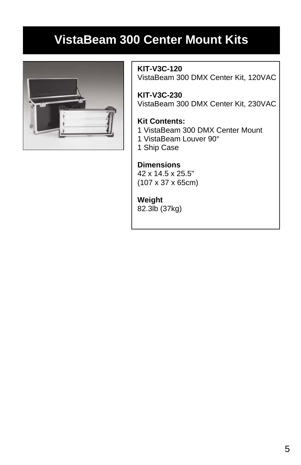### **VistaBeam 300 Center Mount Kits**



**KIT-V3C-120** VistaBeam 300 DMX Center Kit, 120VAC

**KIT-V3C-230** VistaBeam 300 DMX Center Kit, 230VAC

#### **Kit Contents:**

- 1 VistaBeam 300 DMX Center Mount
- 1 VistaBeam Louver 90°
- 1 Ship Case

#### **Dimensions**

42 x 14.5 x 25.5" (107 x 37 x 65cm)

#### **Weight**

82.3lb (37kg)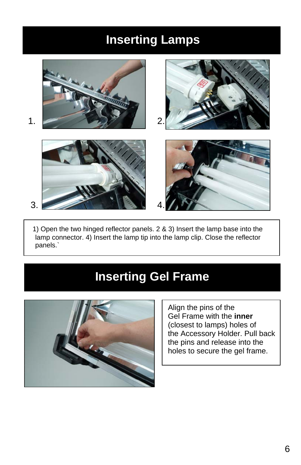### **Inserting Lamps**



 1) Open the two hinged reflector panels. 2 & 3) Insert the lamp base into the lamp connector. 4) Insert the lamp tip into the lamp clip. Close the reflector panels.`

### **Inserting Gel Frame**



Align the pins of the Gel Frame with the **inner** (closest to lamps) holes of the Accessory Holder. Pull back the pins and release into the holes to secure the gel frame.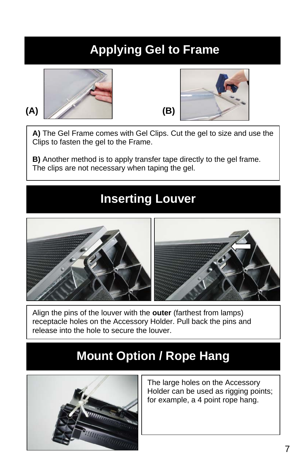## **Applying Gel to Frame**





**A)** The Gel Frame comes with Gel Clips. Cut the gel to size and use the Clips to fasten the gel to the Frame.

**B)** Another method is to apply transfer tape directly to the gel frame. The clips are not necessary when taping the gel.

### **Inserting Louver**



Align the pins of the louver with the **outer** (farthest from lamps) receptacle holes on the Accessory Holder. Pull back the pins and release into the hole to secure the louver.

### **Mount Option / Rope Hang**



The large holes on the Accessory Holder can be used as rigging points; for example, a 4 point rope hang.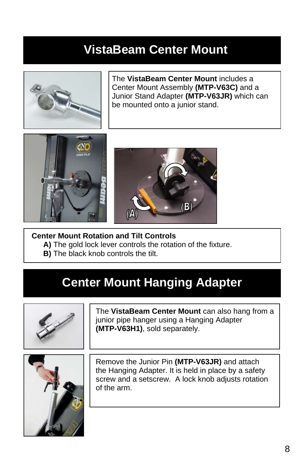### **VistaBeam Center Mount**



The **VistaBeam Center Mount** includes a Center Mount Assembly **(MTP-V63C)** and a Junior Stand Adapter **(MTP-V63JR)** which can be mounted onto a junior stand.





#### **Center Mount Rotation and Tilt Controls**

- **A)** The gold lock lever controls the rotation of the fixture.
- **B)** The black knob controls the tilt.

### **Center Mount Hanging Adapter**



The **VistaBeam Center Mount** can also hang from a junior pipe hanger using a Hanging Adapter **(MTP-V63H1)**, sold separately.



Remove the Junior Pin **(MTP-V63JR)** and attach the Hanging Adapter. It is held in place by a safety screw and a setscrew. A lock knob adjusts rotation of the arm.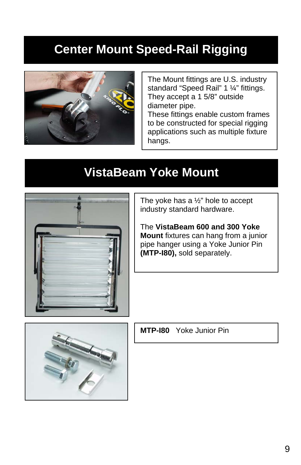### **Center Mount Speed-Rail Rigging**



The Mount fittings are U.S. industry standard "Speed Rail" 1 ¼" fittings. They accept a 1 5/8" outside diameter pipe.

These fittings enable custom frames to be constructed for special rigging applications such as multiple fixture hangs.

### **VistaBeam Yoke Mount**



The yoke has a ½" hole to accept industry standard hardware.

The **VistaBeam 600 and 300 Yoke Mount** fixtures can hang from a junior pipe hanger using a Yoke Junior Pin **(MTP-I80),** sold separately.



**MTP-I80** Yoke Junior Pin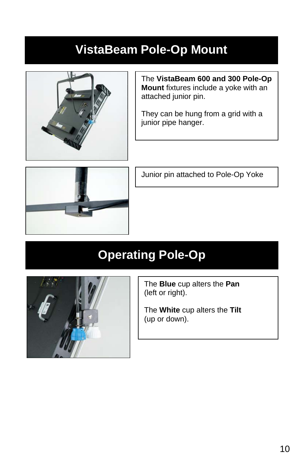### **VistaBeam Pole-Op Mount**



The **VistaBeam 600 and 300 Pole-Op Mount** fixtures include a yoke with an attached junior pin.

They can be hung from a grid with a junior pipe hanger.



Junior pin attached to Pole-Op Yoke

# **Operating Pole-Op**



The **Blue** cup alters the **Pan** (left or right).

The **White** cup alters the **Tilt** (up or down).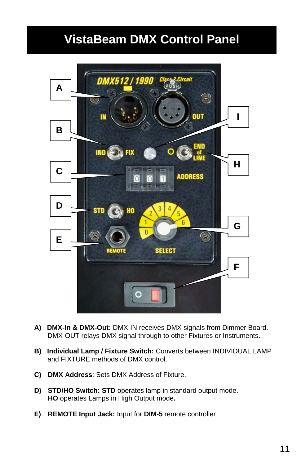### **VistaBeam DMX Control Panel**



- **A) DMX-In & DMX-Out:** DMX-IN receives DMX signals from Dimmer Board. DMX-OUT relays DMX signal through to other Fixtures or Instruments.
- **B) Individual Lamp / Fixture Switch:** Converts between INDIVIDUAL LAMP and FIXTURE methods of DMX control.
- **C) DMX Address**: Sets DMX Address of Fixture.
- **D) STD/HO Switch: STD** operates lamp in standard output mode. **HO** operates Lamps in High Output mode**.**
- **E) REMOTE Input Jack:** Input for **DIM-5** remote controller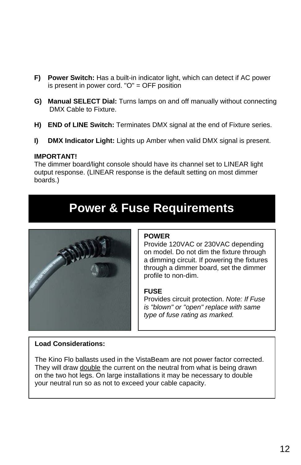- **F) Power Switch:** Has a built-in indicator light, which can detect if AC power is present in power cord. "O" = OFF position
- **G) Manual SELECT Dial:** Turns lamps on and off manually without connecting DMX Cable to Fixture.
- **H) END of LINE Switch:** Terminates DMX signal at the end of Fixture series.
- **I) DMX Indicator Light:** Lights up Amber when valid DMX signal is present.

#### **IMPORTANT!**

The dimmer board/light console should have its channel set to LINEAR light output response. (LINEAR response is the default setting on most dimmer boards.)

### **Power & Fuse Requirements**



#### **POWER**

Provide 120VAC or 230VAC depending on model. Do not dim the fixture through a dimming circuit. If powering the fixtures through a dimmer board, set the dimmer profile to non-dim.

#### **FUSE**

Provides circuit protection. *Note: If Fuse is "blown" or "open" replace with same type of fuse rating as marked.*

#### **Load Considerations:**

The Kino Flo ballasts used in the VistaBeam are not power factor corrected. They will draw double the current on the neutral from what is being drawn on the two hot legs. On large installations it may be necessary to double your neutral run so as not to exceed your cable capacity.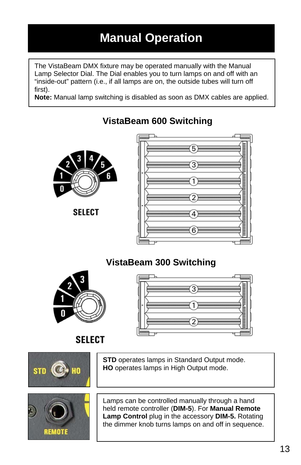# **Manual Operation**

The VistaBeam DMX fixture may be operated manually with the Manual Lamp Selector Dial. The Dial enables you to turn lamps on and off with an "inside-out" pattern (i.e., if all lamps are on, the outside tubes will turn off first).

**Note:** Manual lamp switching is disabled as soon as DMX cables are applied.

 **VistaBeam 600 Switching** 



**SELECT** 

# ▅  $\overline{}$ **THE PROPERTY AND LETT** <u>umminimumi summinimum</u> Æ

### **VistaBeam 300 Switching**





**SELECT** 



**REMOTE** 

**STD** operates lamps in Standard Output mode. **HO** operates lamps in High Output mode.

Lamps can be controlled manually through a hand held remote controller (**DIM-5**). For **Manual Remote Lamp Control** plug in the accessory **DIM-5.** Rotating the dimmer knob turns lamps on and off in sequence.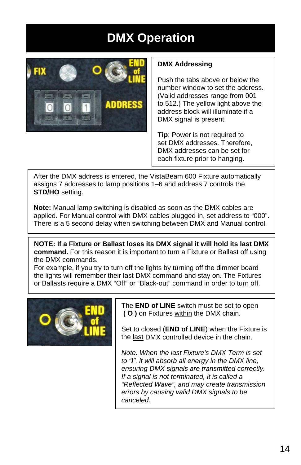# **DMX Operation**



#### **DMX Addressing**

Push the tabs above or below the number window to set the address. (Valid addresses range from 001 to 512.) The yellow light above the address block will illuminate if a DMX signal is present.

**Tip**: Power is not required to set DMX addresses. Therefore, DMX addresses can be set for each fixture prior to hanging.

After the DMX address is entered, the VistaBeam 600 Fixture automatically assigns 7 addresses to lamp positions 1–6 and address 7 controls the **STD/HO** setting.

**Note:** Manual lamp switching is disabled as soon as the DMX cables are applied. For Manual control with DMX cables plugged in, set address to "000". There is a 5 second delay when switching between DMX and Manual control.

**NOTE: If a Fixture or Ballast loses its DMX signal it will hold its last DMX command.** For this reason it is important to turn a Fixture or Ballast off using the DMX commands.

For example, if you try to turn off the lights by turning off the dimmer board the lights will remember their last DMX command and stay on. The Fixtures or Ballasts require a DMX "Off" or "Black-out" command in order to turn off.



The **END of LINE** switch must be set to open **( O )** on Fixtures within the DMX chain.

Set to closed (**END of LINE**) when the Fixture is the last DMX controlled device in the chain.

*Note: When the last Fixture's DMX Term is set to "I", it will absorb all energy in the DMX line, ensuring DMX signals are transmitted correctly. If a signal is not terminated, it is called a "Reflected Wave", and may create transmission errors by causing valid DMX signals to be canceled.*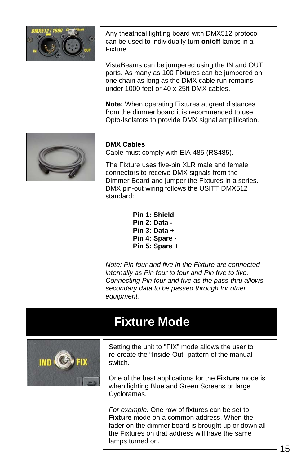

Any theatrical lighting board with DMX512 protocol can be used to individually turn **on/off** lamps in a Fixture.

VistaBeams can be jumpered using the IN and OUT ports. As many as 100 Fixtures can be jumpered on one chain as long as the DMX cable run remains under 1000 feet or 40 x 25ft DMX cables.

**Note:** When operating Fixtures at great distances from the dimmer board it is recommended to use Opto-Isolators to provide DMX signal amplification.



#### **DMX Cables**

Cable must comply with EIA-485 (RS485).

The Fixture uses five-pin XLR male and female connectors to receive DMX signals from the Dimmer Board and jumper the Fixtures in a series. DMX pin-out wiring follows the USITT DMX512 standard:

> **Pin 1: Shield Pin 2: Data - Pin 3: Data + Pin 4: Spare - Pin 5: Spare +**

*Note: Pin four and five in the Fixture are connected internally as Pin four to four and Pin five to five. Connecting Pin four and five as the pass-thru allows secondary data to be passed through for other equipment.*

### **Fixture Mode**



Setting the unit to "FIX" mode allows the user to re-create the "Inside-Out" pattern of the manual switch.

One of the best applications for the **Fixture** mode is when lighting Blue and Green Screens or large Cycloramas.

*For example:* One row of fixtures can be set to **Fixture** mode on a common address. When the fader on the dimmer board is brought up or down all the Fixtures on that address will have the same lamps turned on.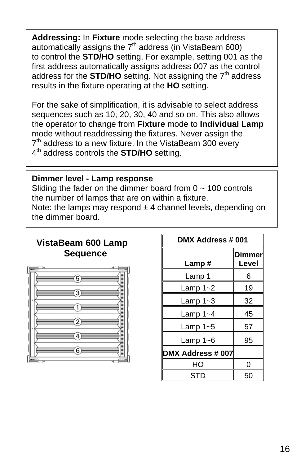**Addressing:** In **Fixture** mode selecting the base address automatically assigns the  $7<sup>th</sup>$  address (in VistaBeam 600) to control the **STD/HO** setting. For example, setting 001 as the first address automatically assigns address 007 as the control address for the **STD/HO** setting. Not assigning the  $7<sup>th</sup>$  address results in the fixture operating at the **HO** setting.

For the sake of simplification, it is advisable to select address sequences such as 10, 20, 30, 40 and so on. This also allows the operator to change from **Fixture** mode to **Individual Lamp** mode without readdressing the fixtures. Never assign the  $7<sup>th</sup>$  address to a new fixture. In the VistaBeam 300 every 4<sup>th</sup> address controls the **STD/HO** setting.

#### **Dimmer level - Lamp response**

Sliding the fader on the dimmer board from  $0 \sim 100$  controls the number of lamps that are on within a fixture.

Note: the lamps may respond  $\pm$  4 channel levels, depending on the dimmer board.

#### **VistaBeam 600 Lamp Sequence**



| DMX Address # 001 |                        |  |
|-------------------|------------------------|--|
| Lamp#             | <b>Dimmer</b><br>Level |  |
| Lamp 1            | 6                      |  |
| Lamp $1 - 2$      | 19                     |  |
| Lamp $1 - 3$      | 32                     |  |
| Lamp $1 - 4$      | 45                     |  |
| Lamp $1 - 5$      | 57                     |  |
| Lamp 1~6          | 95                     |  |
| DMX Address # 007 |                        |  |
| HΟ                | ი                      |  |
| STD               | 50                     |  |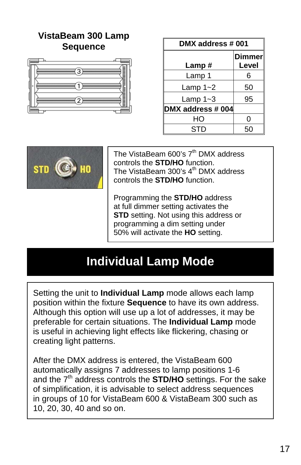### **VistaBeam 300 Lamp Sequence**



| DMX address # 001 |                        |  |
|-------------------|------------------------|--|
| Lamp#             | <b>Dimmer</b><br>Level |  |
| Lamp 1            | 6                      |  |
| Lamp $1 - 2$      | 50                     |  |
| Lamp $1 - 3$      | 95                     |  |
| DMX address # 004 |                        |  |
| HО                | 0                      |  |
| STD               | 50                     |  |



The VistaBeam 600's  $7<sup>th</sup>$  DMX address controls the **STD/HO** function. The VistaBeam 300's 4<sup>th</sup> DMX address controls the **STD/HO** function.

Programming the **STD/HO** address at full dimmer setting activates the **STD** setting. Not using this address or programming a dim setting under 50% will activate the **HO** setting.

### **Individual Lamp Mode**

Setting the unit to **Individual Lamp** mode allows each lamp position within the fixture **Sequence** to have its own address. Although this option will use up a lot of addresses, it may be preferable for certain situations. The **Individual Lamp** mode is useful in achieving light effects like flickering, chasing or creating light patterns.

After the DMX address is entered, the VistaBeam 600 automatically assigns 7 addresses to lamp positions 1-6 and the 7<sup>th</sup> address controls the **STD/HO** settings. For the sake of simplification, it is advisable to select address sequences in groups of 10 for VistaBeam 600 & VistaBeam 300 such as 10, 20, 30, 40 and so on.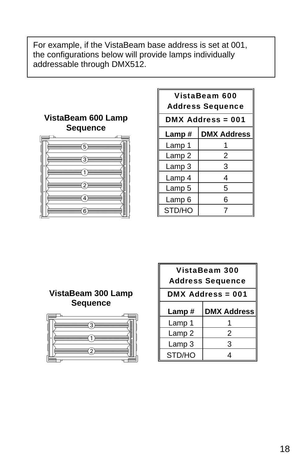For example, if the VistaBeam base address is set at 001, the configurations below will provide lamps individually addressable through DMX512.



| VistaBeam 600<br><b>Address Sequence</b> |                    |  |
|------------------------------------------|--------------------|--|
| DMX Address = 001                        |                    |  |
| Lamp #                                   | <b>DMX Address</b> |  |
| Lamp 1                                   | 1                  |  |
| Lamp 2                                   | 2                  |  |
| Lamp 3                                   | 3                  |  |
| Lamp 4                                   | 4                  |  |
| Lamp 5                                   | 5                  |  |
| Lamp 6                                   | 6                  |  |
| STD/HO                                   | 7                  |  |

#### **VistaBeam 300 Lamp Sequence**



| VistaBeam 300<br><b>Address Sequence</b> |                    |  |
|------------------------------------------|--------------------|--|
| <b>DMX Address = 001</b>                 |                    |  |
| Lamp#                                    | <b>DMX Address</b> |  |
| Lamp 1                                   |                    |  |
| Lamp 2                                   | 2                  |  |
| Lamp 3                                   | 3                  |  |
| STD/HO                                   | 4                  |  |
|                                          |                    |  |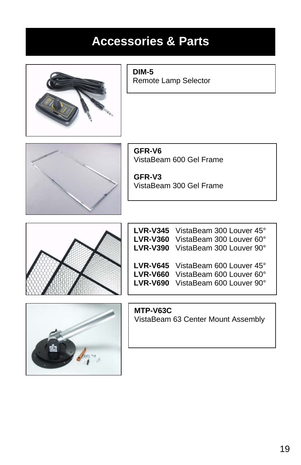# **Accessories & Parts**



**DIM-5** Remote Lamp Selector



**GFR-V6**  VistaBeam 600 Gel Frame

**GFR-V3**  VistaBeam 300 Gel Frame



| <b>LVR-V360</b><br><b>LVR-V390</b> | LVR-V345 VistaBeam 300 Louver 45°<br>VistaBeam 300 Louver 60°<br>VistaBeam 300 Louver 90°                 |
|------------------------------------|-----------------------------------------------------------------------------------------------------------|
| <b>LVR-V660</b><br><b>LVR-V690</b> | <b>LVR-V645</b> VistaBeam 600 Louver $45^{\circ}$<br>VistaBeam 600 Louver 60°<br>VistaBeam 600 Louver 90° |



**MTP-V63C** VistaBeam 63 Center Mount Assembly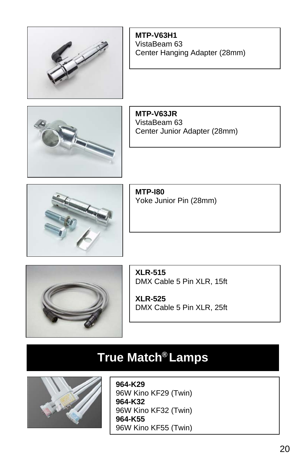**MTP-V63H1** VistaBeam 63 Center Hanging Adapter (28mm)



**MTP-V63JR** VistaBeam 63 Center Junior Adapter (28mm)



**MTP-I80**  Yoke Junior Pin (28mm)



**XLR-515** DMX Cable 5 Pin XLR, 15ft

**XLR-525**  DMX Cable 5 Pin XLR, 25ft

# **True Match<sup>®</sup> Lamps**



**964-K29** 96W Kino KF29 (Twin) **964-K32** 96W Kino KF32 (Twin) **964-K55** 96W Kino KF55 (Twin)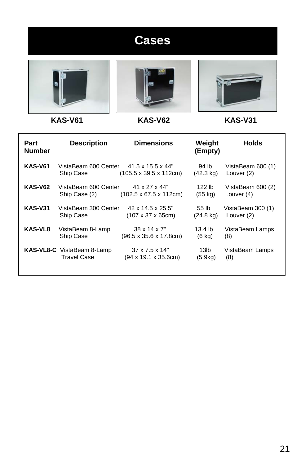# **Cases**







 **KAS-V61 KAS-V62 KAS-V31** 

| Part<br><b>Number</b> | <b>Description</b>                | <b>Dimensions</b>                          | Weight<br>(Empty)   | <b>Holds</b>      |
|-----------------------|-----------------------------------|--------------------------------------------|---------------------|-------------------|
| <b>KAS-V61</b>        | VistaBeam 600 Center              | $41.5 \times 15.5 \times 44"$              | 94 lb               | VistaBeam 600 (1) |
|                       | Ship Case                         | $(105.5 \times 39.5 \times 112$ cm)        | (42.3 kg)           | Louver (2)        |
| <b>KAS-V62</b>        | VistaBeam 600 Center              | 41 x 27 x 44"                              | 122 lb              | VistaBeam 600 (2) |
|                       | Ship Case (2)                     | $(102.5 \times 67.5 \times 112 \text{cm})$ | (55 kg)             | Louver (4)        |
| <b>KAS-V31</b>        | VistaBeam 300 Center              | 42 x 14.5 x 25.5"                          | 55 <sub>th</sub>    | VistaBeam 300 (1) |
|                       | Ship Case                         | $(107 \times 37 \times 65 \text{cm})$      | $(24.8 \text{ kg})$ | Louver (2)        |
| KAS-VL8               | VistaBeam 8-Lamp                  | $38 \times 14 \times 7$ "                  | 13.4 <sub>lb</sub>  | VistaBeam Lamps   |
|                       | Ship Case                         | $(96.5 \times 35.6 \times 17.8 \text{cm})$ | $(6 \text{ kg})$    | (8)               |
|                       | <b>KAS-VL8-C</b> VistaBeam 8-Lamp | $37 \times 7.5 \times 14$ "                | 13 <sub>lb</sub>    | VistaBeam Lamps   |
|                       | <b>Travel Case</b>                | (94 x 19.1 x 35.6cm)                       | (5.9kg)             | (8)               |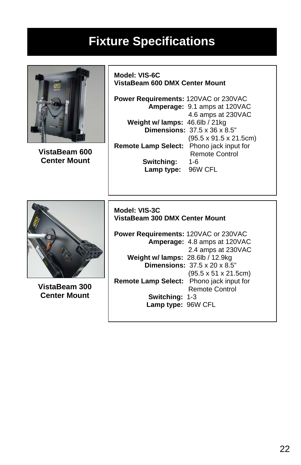### **Fixture Specifications**



**VistaBeam 600 Center Mount** 

**Model: VIS-6C VistaBeam 600 DMX Center Mount** 

**Power Requirements:** 120VAC or 230VAC  **Amperage:** 9.1 amps at 120VAC 4.6 amps at 230VAC  **Weight w/ lamps:** 46.6lb / 21kg  **Dimensions:** 37.5 x 36 x 8.5" (95.5 x 91.5 x 21.5cm) **Remote Lamp Select:** Phono jack input for Remote Control  **Switching:** 1-6  **Lamp type:** 96W CFL



**VistaBeam 300 Center Mount** 

#### **Model: VIS-3C VistaBeam 300 DMX Center Mount**

**Power Requirements:** 120VAC or 230VAC  **Amperage:** 4.8 amps at 120VAC 2.4 amps at 230VAC  **Weight w/ lamps:** 28.6lb / 12.9kg  **Dimensions:** 37.5 x 20 x 8.5" (95.5 x 51 x 21.5cm) **Remote Lamp Select:** Phono jack input for Remote Control  **Switching:** 1-3  **Lamp type:** 96W CFL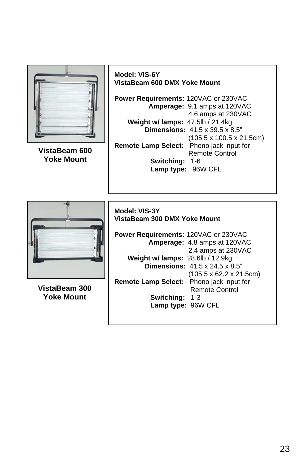

23